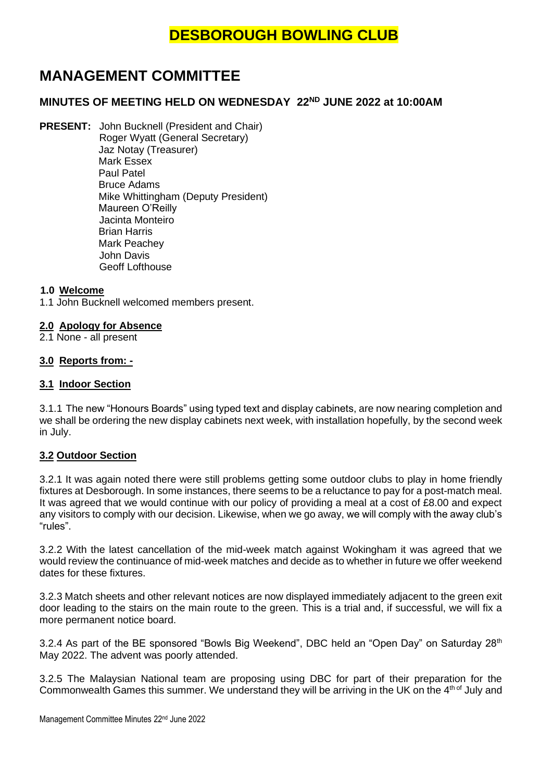# **MANAGEMENT COMMITTEE**

## **MINUTES OF MEETING HELD ON WEDNESDAY 22ND JUNE 2022 at 10:00AM**

**PRESENT:** John Bucknell (President and Chair) Roger Wyatt (General Secretary) Jaz Notay (Treasurer) Mark Essex Paul Patel Bruce Adams Mike Whittingham (Deputy President) Maureen O'Reilly Jacinta Monteiro Brian Harris Mark Peachey John Davis Geoff Lofthouse

#### **1.0 Welcome**

1.1 John Bucknell welcomed members present.

#### **2.0 Apology for Absence**

2.1 None - all present

#### **3.0 Reports from: -**

#### **3.1 Indoor Section**

3.1.1 The new "Honours Boards" using typed text and display cabinets, are now nearing completion and we shall be ordering the new display cabinets next week, with installation hopefully, by the second week in July.

#### **3.2 Outdoor Section**

3.2.1 It was again noted there were still problems getting some outdoor clubs to play in home friendly fixtures at Desborough. In some instances, there seems to be a reluctance to pay for a post-match meal. It was agreed that we would continue with our policy of providing a meal at a cost of £8.00 and expect any visitors to comply with our decision. Likewise, when we go away, we will comply with the away club's "rules".

3.2.2 With the latest cancellation of the mid-week match against Wokingham it was agreed that we would review the continuance of mid-week matches and decide as to whether in future we offer weekend dates for these fixtures.

3.2.3 Match sheets and other relevant notices are now displayed immediately adjacent to the green exit door leading to the stairs on the main route to the green. This is a trial and, if successful, we will fix a more permanent notice board.

3.2.4 As part of the BE sponsored "Bowls Big Weekend", DBC held an "Open Day" on Saturday 28<sup>th</sup> May 2022. The advent was poorly attended.

3.2.5 The Malaysian National team are proposing using DBC for part of their preparation for the Commonwealth Games this summer. We understand they will be arriving in the UK on the 4<sup>th of</sup> July and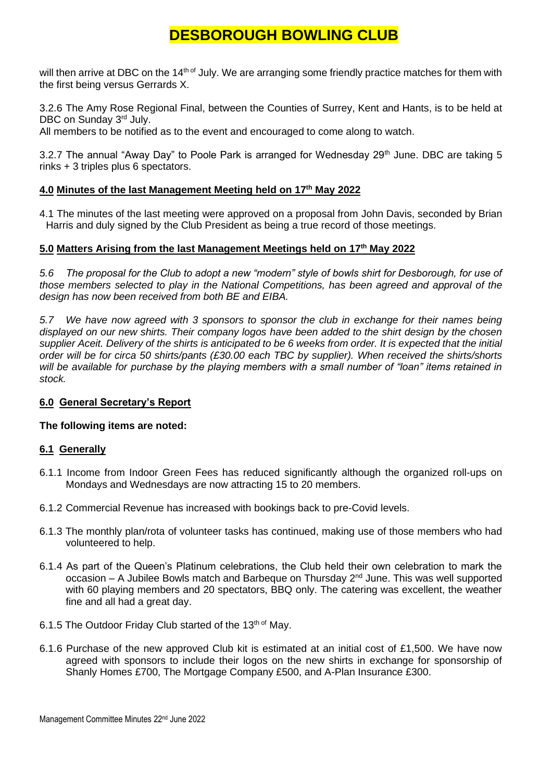will then arrive at DBC on the 14<sup>th of</sup> July. We are arranging some friendly practice matches for them with the first being versus Gerrards X.

3.2.6 The Amy Rose Regional Final, between the Counties of Surrey, Kent and Hants, is to be held at DBC on Sunday 3<sup>rd</sup> July.

All members to be notified as to the event and encouraged to come along to watch.

3.2.7 The annual "Away Day" to Poole Park is arranged for Wednesday  $29<sup>th</sup>$  June. DBC are taking 5 rinks + 3 triples plus 6 spectators.

### **4.0 Minutes of the last Management Meeting held on 17th May 2022**

4.1 The minutes of the last meeting were approved on a proposal from John Davis, seconded by Brian Harris and duly signed by the Club President as being a true record of those meetings.

#### **5.0 Matters Arising from the last Management Meetings held on 17th May 2022**

*5.6 The proposal for the Club to adopt a new "modern" style of bowls shirt for Desborough, for use of those members selected to play in the National Competitions, has been agreed and approval of the design has now been received from both BE and EIBA.*

*5.7 We have now agreed with 3 sponsors to sponsor the club in exchange for their names being displayed on our new shirts. Their company logos have been added to the shirt design by the chosen supplier Aceit. Delivery of the shirts is anticipated to be 6 weeks from order. It is expected that the initial order will be for circa 50 shirts/pants (£30.00 each TBC by supplier). When received the shirts/shorts will be available for purchase by the playing members with a small number of "loan" items retained in stock.*

#### **6.0 General Secretary's Report**

#### **The following items are noted:**

#### **6.1 Generally**

- 6.1.1 Income from Indoor Green Fees has reduced significantly although the organized roll-ups on Mondays and Wednesdays are now attracting 15 to 20 members.
- 6.1.2 Commercial Revenue has increased with bookings back to pre-Covid levels.
- 6.1.3 The monthly plan/rota of volunteer tasks has continued, making use of those members who had volunteered to help.
- 6.1.4 As part of the Queen's Platinum celebrations, the Club held their own celebration to mark the occasion – A Jubilee Bowls match and Barbeque on Thursday 2<sup>nd</sup> June. This was well supported with 60 playing members and 20 spectators, BBQ only. The catering was excellent, the weather fine and all had a great day.
- 6.1.5 The Outdoor Friday Club started of the 13<sup>th of</sup> May.
- 6.1.6 Purchase of the new approved Club kit is estimated at an initial cost of £1,500. We have now agreed with sponsors to include their logos on the new shirts in exchange for sponsorship of Shanly Homes £700, The Mortgage Company £500, and A-Plan Insurance £300.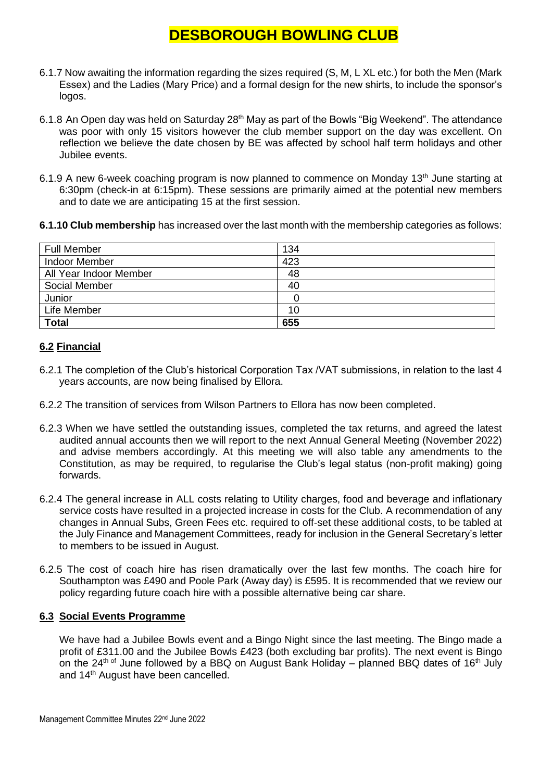- 6.1.7 Now awaiting the information regarding the sizes required (S, M, L XL etc.) for both the Men (Mark Essex) and the Ladies (Mary Price) and a formal design for the new shirts, to include the sponsor's logos.
- 6.1.8 An Open day was held on Saturday 28<sup>th</sup> May as part of the Bowls "Big Weekend". The attendance was poor with only 15 visitors however the club member support on the day was excellent. On reflection we believe the date chosen by BE was affected by school half term holidays and other Jubilee events.
- 6.1.9 A new 6-week coaching program is now planned to commence on Monday 13<sup>th</sup> June starting at 6:30pm (check-in at 6:15pm). These sessions are primarily aimed at the potential new members and to date we are anticipating 15 at the first session.
- **6.1.10 Club membership** has increased over the last month with the membership categories as follows:

| <b>Full Member</b>     | 134 |
|------------------------|-----|
| <b>Indoor Member</b>   | 423 |
| All Year Indoor Member | 48  |
| Social Member          | 40  |
| Junior                 |     |
| Life Member            | 10  |
| <b>Total</b>           | 655 |

### **6.2 Financial**

- 6.2.1 The completion of the Club's historical Corporation Tax /VAT submissions, in relation to the last 4 years accounts, are now being finalised by Ellora.
- 6.2.2 The transition of services from Wilson Partners to Ellora has now been completed.
- 6.2.3 When we have settled the outstanding issues, completed the tax returns, and agreed the latest audited annual accounts then we will report to the next Annual General Meeting (November 2022) and advise members accordingly. At this meeting we will also table any amendments to the Constitution, as may be required, to regularise the Club's legal status (non-profit making) going forwards.
- 6.2.4 The general increase in ALL costs relating to Utility charges, food and beverage and inflationary service costs have resulted in a projected increase in costs for the Club. A recommendation of any changes in Annual Subs, Green Fees etc. required to off-set these additional costs, to be tabled at the July Finance and Management Committees, ready for inclusion in the General Secretary's letter to members to be issued in August.
- 6.2.5 The cost of coach hire has risen dramatically over the last few months. The coach hire for Southampton was £490 and Poole Park (Away day) is £595. It is recommended that we review our policy regarding future coach hire with a possible alternative being car share.

#### **6.3 Social Events Programme**

We have had a Jubilee Bowls event and a Bingo Night since the last meeting. The Bingo made a profit of £311.00 and the Jubilee Bowls £423 (both excluding bar profits). The next event is Bingo on the  $24^{\text{th of}}$  June followed by a BBQ on August Bank Holiday – planned BBQ dates of 16<sup>th</sup> July and 14<sup>th</sup> August have been cancelled.